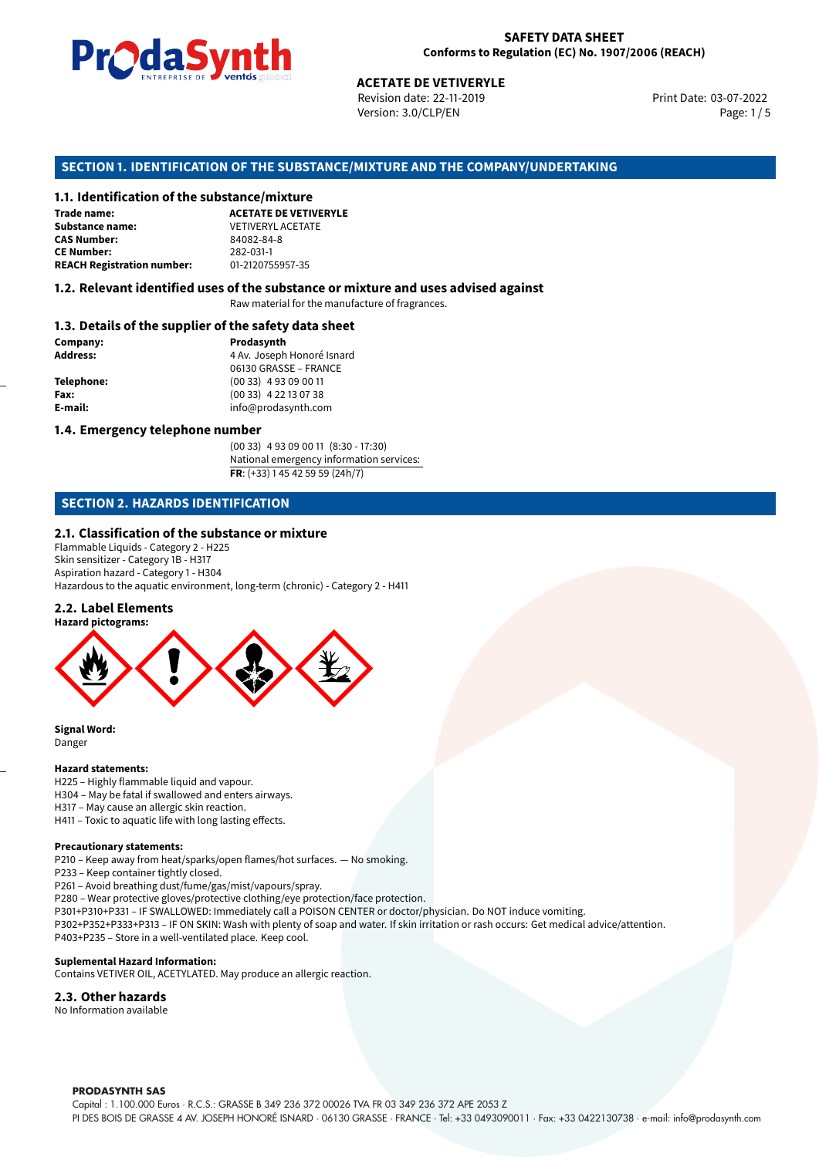

Revision date: 22-11-2019 Version: 3.0/CLP/EN Page: 1/5

Print Date: 03-07-2022

# **ACETATE DE VETIVERYLE<br>
Revision date: 22-11-2019<br>
Version: 3.0/CLP/EN<br>
<b>OF THE SUBSTANCE/MIXTURE AND THE COMP/<br>
tance/mixture**<br>
ACETATE DE VETIVERYLE **SECTION 1. IDENTIFICATION OF THE SUBSTANCE/MIXTURE AND THE COMPANY/UNDERTAKING**

#### **1.1. Identification of the substance/mixture**

| Trade name:                       | <b>ACETATE DE VETIVI</b> |
|-----------------------------------|--------------------------|
| Substance name:                   | <b>VETIVERYL ACETATE</b> |
| <b>CAS Number:</b>                | 84082-84-8               |
| <b>CE Number:</b>                 | 282-031-1                |
| <b>REACH Registration number:</b> | 01-2120755957-35         |

#### **1.2. Relevant identified uses of the substance or mixture and uses advised against**

Raw material for the manufacture of fragrances.

#### **1.3. Details of the supplier of the safety data sheet**

| Company:   | Prodasynth                 |  |
|------------|----------------------------|--|
| Address:   | 4 Av. Joseph Honoré Isnard |  |
|            | 06130 GRASSE - FRANCE      |  |
| Telephone: | $(0033)$ 4 93 09 00 11     |  |
| Fax:       | (00 33) 4 22 13 07 38      |  |
| E-mail:    | info@prodasynth.com        |  |
|            |                            |  |

#### **1.4. Emergency telephone number**

(00 33) 4 93 09 00 11 (8:30 - 17:30) National emergency information services: **FR**: (+33) 1 45 42 59 59 (24h/7)

#### **SECTION 2. HAZARDS IDENTIFICATION**

#### **2.1. Classification of the substance or mixture**

Flammable Liquids - Category 2 - H225 Skin sensitizer - Category 1B - H317 Aspiration hazard - Category 1 - H304 Hazardous to the aquatic environment, long-term (chronic) - Category 2 - H411

#### **2.2. Label Elements**



**Signal Word:** Danger

#### **Hazard statements:**

H225 – Highly flammable liquid and vapour. H304 – May be fatal if swallowed and enters airways. H317 – May cause an allergic skin reaction. H411 – Toxic to aquatic life with long lasting effects.

#### **Precautionary statements:**

P210 – Keep away from heat/sparks/open flames/hot surfaces. — No smoking.

- P233 Keep container tightly closed.
- P261 Avoid breathing dust/fume/gas/mist/vapours/spray.
- P280 Wear protective gloves/protective clothing/eye protection/face protection.
- P301+P310+P331 IF SWALLOWED: Immediately call a POISON CENTER or doctor/physician. Do NOT induce vomiting.
- P302+P352+P333+P313 IF ON SKIN: Wash with plenty of soap and water. If skin irritation or rash occurs: Get medical advice/attention. P403+P235 – Store in a well-ventilated place. Keep cool.

#### **Suplemental Hazard Information:**

Contains VETIVER OIL, ACETYLATED. May produce an allergic reaction.

#### **2.3. Other hazards**

No Information available

**PRODASYNTH SAS**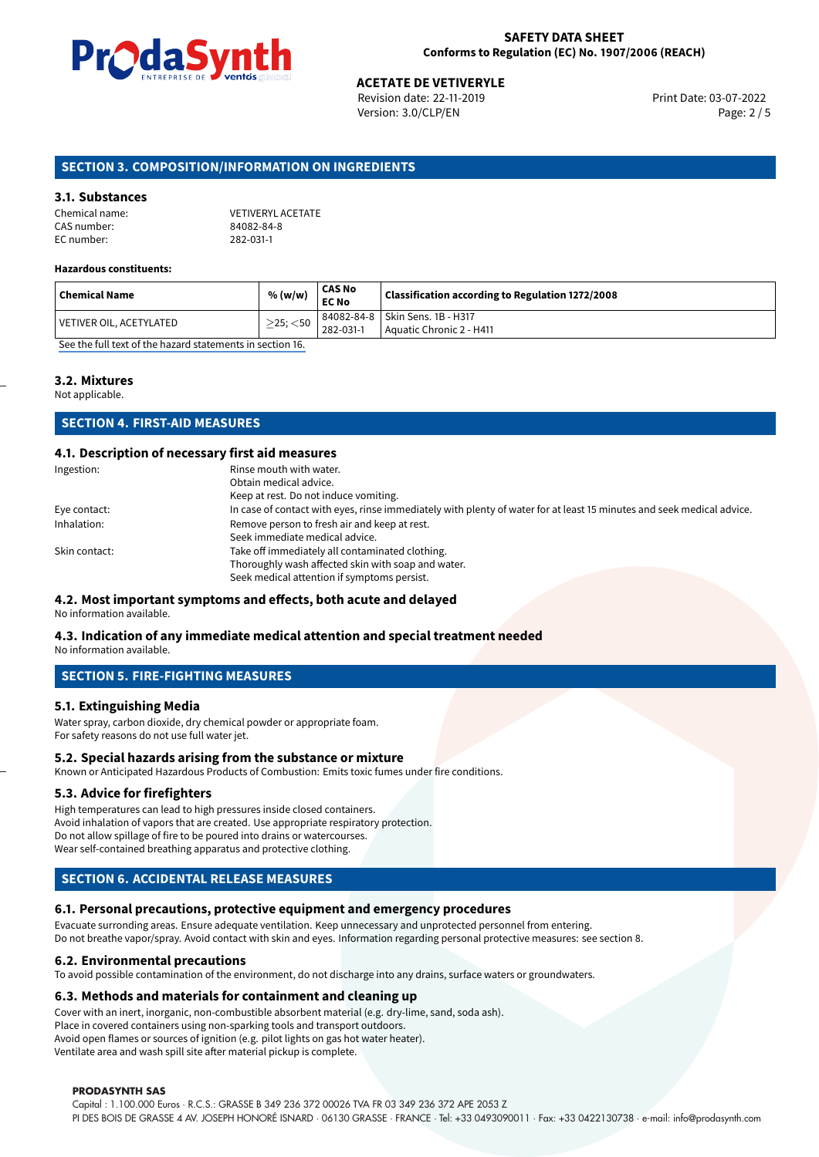

# **ACETATE DE VETIVERYLE**<br>
Revision date: 22-11-2019<br> **Print Date: 03-07-2022**

Revision date: 22-11-2019 Version: 3.0/CLP/EN Page: 2 / 5

#### **SECTION 3. COMPOSITION/INFORMATION ON INGREDIENTS**

#### **3.1. Substances**

| Chemical name: | <b>VETIVERYL ACETATE</b> |
|----------------|--------------------------|
| CAS number:    | 84082-84-8               |
| EC number:     | 282-031-1                |

#### **Hazardous constituents:**

| <b>Chemical Name</b>                                                                             | % (w/w)           | CAS No<br><b>EC No</b> | Classification according to Regulation 1272/2008 |
|--------------------------------------------------------------------------------------------------|-------------------|------------------------|--------------------------------------------------|
|                                                                                                  | $\geq$ 25; $<$ 50 |                        | 84082-84-8   Skin Sens. 1B - H317                |
| VETIVER OIL, ACETYLATED                                                                          |                   | 282-031-1              | Aquatic Chronic 2 - H411                         |
| $\alpha$ is a directly field a record of the collect of the contract of the contract of $\alpha$ |                   |                        |                                                  |

[See the full text of the hazard statements in section 16.](#page-4-0)

#### **3.2. Mixtures**

Not applicable.

#### **SECTION 4. FIRST-AID MEASURES**

#### **4.1. Description of necessary first aid measures**

| Ingestion:    | Rinse mouth with water.<br>Obtain medical advice.                                                                                                    |
|---------------|------------------------------------------------------------------------------------------------------------------------------------------------------|
|               | Keep at rest. Do not induce vomiting.                                                                                                                |
| Eye contact:  | In case of contact with eyes, rinse immediately with plenty of water for at least 15 minutes and seek medical advice.                                |
| Inhalation:   | Remove person to fresh air and keep at rest.<br>Seek immediate medical advice.                                                                       |
| Skin contact: | Take off immediately all contaminated clothing.<br>Thoroughly wash affected skin with soap and water.<br>Seek medical attention if symptoms persist. |

#### **4.2. Most important symptoms and effects, both acute and delayed**

No information available.

#### **4.3. Indication of any immediate medical attention and special treatment needed**

No information available.

#### **SECTION 5. FIRE-FIGHTING MEASURES**

#### **5.1. Extinguishing Media**

Water spray, carbon dioxide, dry chemical powder or appropriate foam. For safety reasons do not use full water jet.

#### **5.2. Special hazards arising from the substance or mixture**

Known or Anticipated Hazardous Products of Combustion: Emits toxic fumes under fire conditions.

#### **5.3. Advice for firefighters**

High temperatures can lead to high pressures inside closed containers. Avoid inhalation of vapors that are created. Use appropriate respiratory protection. Do not allow spillage of fire to be poured into drains or watercourses. Wear self-contained breathing apparatus and protective clothing.

#### **SECTION 6. ACCIDENTAL RELEASE MEASURES**

#### **6.1. Personal precautions, protective equipment and emergency procedures**

Evacuate surronding areas. Ensure adequate ventilation. Keep unnecessary and unprotected personnel from entering. Do not breathe vapor/spray. Avoid contact with skin and eyes. Information regarding personal protective measures: see section 8.

#### **6.2. Environmental precautions**

To avoid possible contamination of the environment, do not discharge into any drains, surface waters or groundwaters.

#### **6.3. Methods and materials for containment and cleaning up**

Cover with an inert, inorganic, non-combustible absorbent material (e.g. dry-lime, sand, soda ash). Place in covered containers using non-sparking tools and transport outdoors. Avoid open flames or sources of ignition (e.g. pilot lights on gas hot water heater). Ventilate area and wash spill site after material pickup is complete.

#### **PRODASYNTH SAS**

Capital : 1.100.000 Euros · R.C.S.: GRASSE B 349 236 372 00026 TVA FR 03 349 236 372 APE 2053 Z PI DES BOIS DE GRASSE 4 AV. JOSEPH HONORÉ ISNARD · 06130 GRASSE · FRANCE · Tel: +33 0493090011 · Fax: +33 0422130738 · e-mail: info@prodasynth.com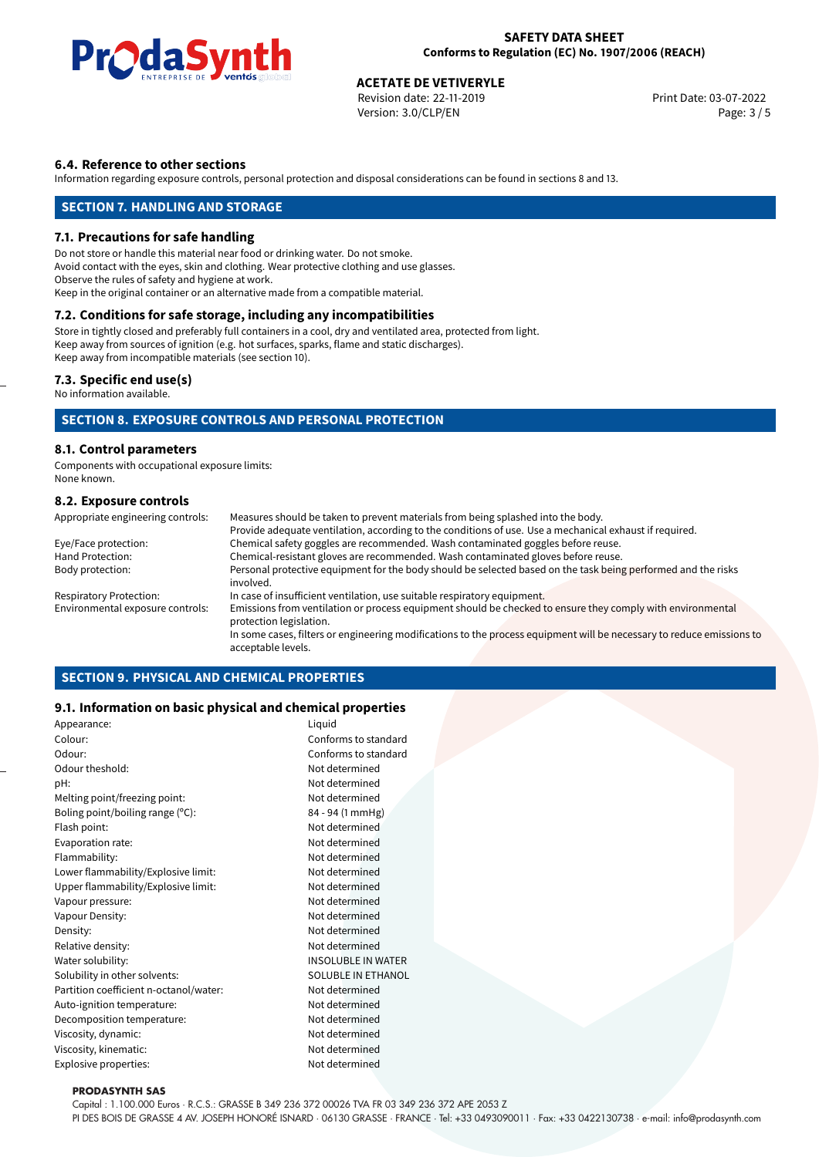

# **ACETATE DE VETIVERYLE**<br>
Revision date: 22-11-2019<br> **Devision date: 22-11-2019**

Revision date: 22-11-2019 Version: 3.0/CLP/EN Page: 3 / 5

#### **6.4. Reference to other sections**

Information regarding exposure controls, personal protection and disposal considerations can be found in sections 8 and 13.

#### **SECTION 7. HANDLING AND STORAGE**

#### **7.1. Precautions for safe handling**

Do not store or handle this material near food or drinking water. Do not smoke. Avoid contact with the eyes, skin and clothing. Wear protective clothing and use glasses. Observe the rules of safety and hygiene at work. Keep in the original container or an alternative made from a compatible material.

#### **7.2. Conditions for safe storage, including any incompatibilities**

Store in tightly closed and preferably full containers in a cool, dry and ventilated area, protected from light. Keep away from sources of ignition (e.g. hot surfaces, sparks, flame and static discharges). Keep away from incompatible materials (see section 10).

#### **7.3. Specific end use(s)**

No information available.

#### **SECTION 8. EXPOSURE CONTROLS AND PERSONAL PROTECTION**

#### **8.1. Control parameters**

Components with occupational exposure limits: None known.

#### **8.2. Exposure controls**

| Appropriate engineering controls: | Measures should be taken to prevent materials from being splashed into the body.                                                            |
|-----------------------------------|---------------------------------------------------------------------------------------------------------------------------------------------|
|                                   | Provide adequate ventilation, according to the conditions of use. Use a mechanical exhaust if required.                                     |
| Eye/Face protection:              | Chemical safety goggles are recommended. Wash contaminated goggles before reuse.                                                            |
| Hand Protection:                  | Chemical-resistant gloves are recommended. Wash contaminated gloves before reuse.                                                           |
| Body protection:                  | Personal protective equipment for the body should be selected based on the task being performed and the risks<br>involved.                  |
| <b>Respiratory Protection:</b>    | In case of insufficient ventilation, use suitable respiratory equipment.                                                                    |
| Environmental exposure controls:  | Emissions from ventilation or process equipment should be checked to ensure they comply with environmental<br>protection legislation.       |
|                                   | In some cases, filters or engineering modifications to the process equipment will be necessary to reduce emissions to<br>acceptable levels. |

#### **SECTION 9. PHYSICAL AND CHEMICAL PROPERTIES**

#### **9.1. Information on basic physical and chemical properties**

| Appearance:                            | Liquid                    |  |
|----------------------------------------|---------------------------|--|
| Colour:                                | Conforms to standard      |  |
| Odour:                                 | Conforms to standard      |  |
| Odour theshold:                        | Not determined            |  |
| pH:                                    | Not determined            |  |
| Melting point/freezing point:          | Not determined            |  |
| Boling point/boiling range (°C):       | 84 - 94 (1 mmHg)          |  |
| Flash point:                           | Not determined            |  |
| Evaporation rate:                      | Not determined            |  |
| Flammability:                          | Not determined            |  |
| Lower flammability/Explosive limit:    | Not determined            |  |
| Upper flammability/Explosive limit:    | Not determined            |  |
| Vapour pressure:                       | Not determined            |  |
| Vapour Density:                        | Not determined            |  |
| Density:                               | Not determined            |  |
| Relative density:                      | Not determined            |  |
| Water solubility:                      | <b>INSOLUBLE IN WATER</b> |  |
| Solubility in other solvents:          | <b>SOLUBLE IN ETHANOL</b> |  |
| Partition coefficient n-octanol/water: | Not determined            |  |
| Auto-ignition temperature:             | Not determined            |  |
| Decomposition temperature:             | Not determined            |  |
| Viscosity, dynamic:                    | Not determined            |  |
| Viscosity, kinematic:                  | Not determined            |  |
| <b>Explosive properties:</b>           | Not determined            |  |
|                                        |                           |  |

#### **PRODASYNTH SAS**

Capital : 1.100.000 Euros · R.C.S.: GRASSE B 349 236 372 00026 TVA FR 03 349 236 372 APE 2053 Z

PI DES BOIS DE GRASSE 4 AV. JOSEPH HONORÉ ISNARD · 06130 GRASSE · FRANCE · Tel: +33 0493090011 · Fax: +33 0422130738 · e-mail: info@prodasynth.com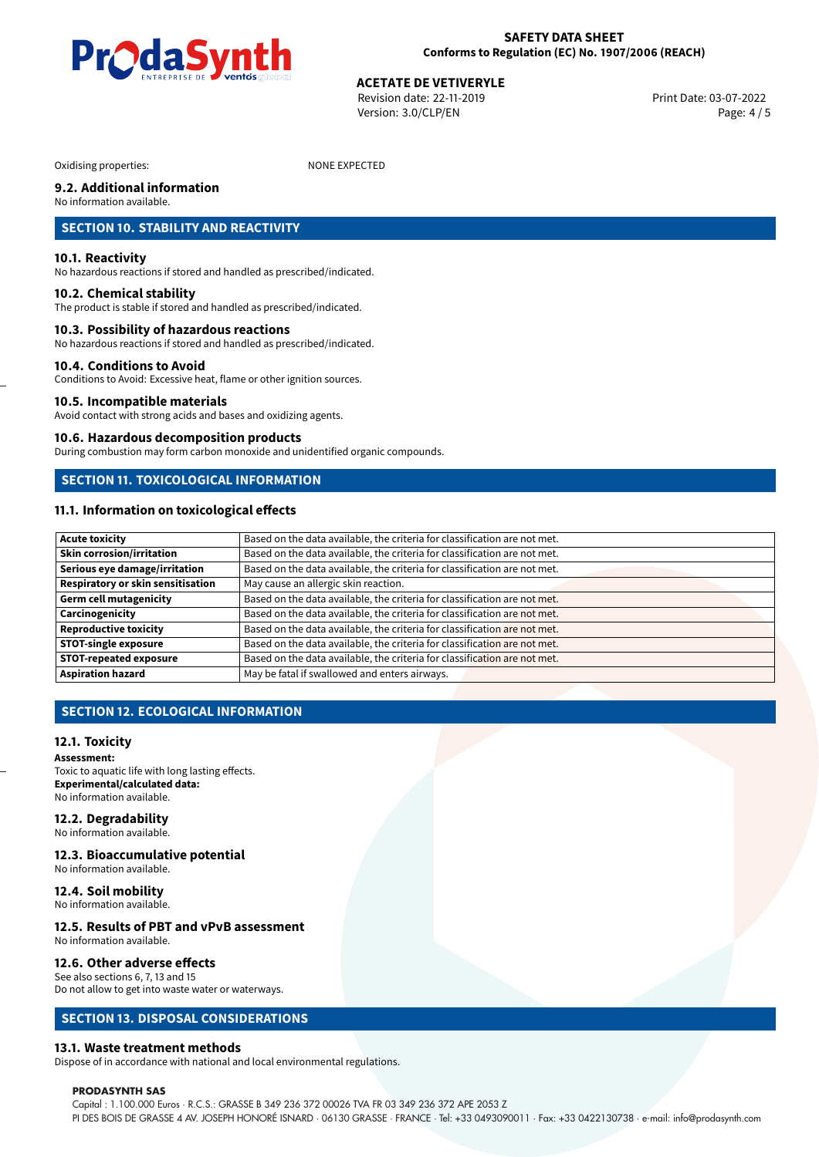

**ACETATE DE VETIVERYLE**<br>Revision date: 22-11-2019 Print Date: 03-07-2022 Version: 3.0/CLP/EN Page: 4 / 5

Oxidising properties: NONE EXPECTED

## **9.2. Additional information**

No information available.

#### **SECTION 10. STABILITY AND REACTIVITY**

#### **10.1. Reactivity**

No hazardous reactions if stored and handled as prescribed/indicated.

#### **10.2. Chemical stability**

The product is stable if stored and handled as prescribed/indicated.

#### **10.3. Possibility of hazardous reactions**

No hazardous reactions if stored and handled as prescribed/indicated.

#### **10.4. Conditions to Avoid**

Conditions to Avoid: Excessive heat, flame or other ignition sources.

#### **10.5. Incompatible materials**

Avoid contact with strong acids and bases and oxidizing agents.

#### **10.6. Hazardous decomposition products**

During combustion may form carbon monoxide and unidentified organic compounds.

## **SECTION 11. TOXICOLOGICAL INFORMATION**

#### **11.1. Information on toxicological effects**

| <b>Acute toxicity</b>             | Based on the data available, the criteria for classification are not met. |
|-----------------------------------|---------------------------------------------------------------------------|
| <b>Skin corrosion/irritation</b>  | Based on the data available, the criteria for classification are not met. |
| Serious eye damage/irritation     | Based on the data available, the criteria for classification are not met. |
| Respiratory or skin sensitisation | May cause an allergic skin reaction.                                      |
| <b>Germ cell mutagenicity</b>     | Based on the data available, the criteria for classification are not met. |
| Carcinogenicity                   | Based on the data available, the criteria for classification are not met. |
| <b>Reproductive toxicity</b>      | Based on the data available, the criteria for classification are not met. |
| <b>STOT-single exposure</b>       | Based on the data available, the criteria for classification are not met. |
| <b>STOT-repeated exposure</b>     | Based on the data available, the criteria for classification are not met. |
| <b>Aspiration hazard</b>          | May be fatal if swallowed and enters airways.                             |

#### **SECTION 12. ECOLOGICAL INFORMATION**

#### **12.1. Toxicity**

**Assessment:** Toxic to aquatic life with long lasting effects. **Experimental/calculated data:** No information available.

### **12.2. Degradability**

No information available.

#### **12.3. Bioaccumulative potential** No information available.

## **12.4. Soil mobility**

No information available.

#### **12.5. Results of PBT and vPvB assessment** No information available.

#### **12.6. Other adverse effects** See also sections 6, 7, 13 and 15

Do not allow to get into waste water or waterways.

#### **SECTION 13. DISPOSAL CONSIDERATIONS**

#### **13.1. Waste treatment methods**

Dispose of in accordance with national and local environmental regulations.

#### **PRODASYNTH SAS**

Capital : 1.100.000 Euros · R.C.S.: GRASSE B 349 236 372 00026 TVA FR 03 349 236 372 APE 2053 Z PI DES BOIS DE GRASSE 4 AV. JOSEPH HONORÉ ISNARD · 06130 GRASSE · FRANCE · Tel: +33 0493090011 · Fax: +33 0422130738 · e-mail: info@prodasynth.com